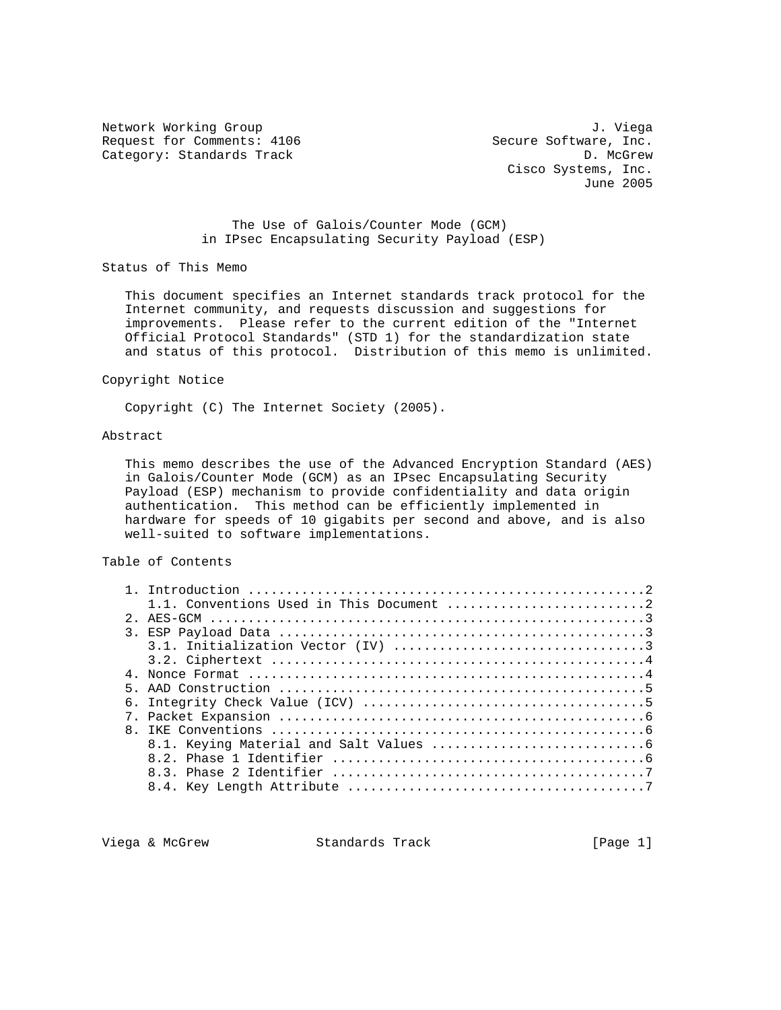Network Working Group 3. 2008 3. Network Working Group 3. 2008 Request for Comments: 4106 Secure Software, Inc. Category: Standards Track D. McGrew D. McGrew

 Cisco Systems, Inc. June 2005

 The Use of Galois/Counter Mode (GCM) in IPsec Encapsulating Security Payload (ESP)

Status of This Memo

 This document specifies an Internet standards track protocol for the Internet community, and requests discussion and suggestions for improvements. Please refer to the current edition of the "Internet Official Protocol Standards" (STD 1) for the standardization state and status of this protocol. Distribution of this memo is unlimited.

#### Copyright Notice

Copyright (C) The Internet Society (2005).

# Abstract

 This memo describes the use of the Advanced Encryption Standard (AES) in Galois/Counter Mode (GCM) as an IPsec Encapsulating Security Payload (ESP) mechanism to provide confidentiality and data origin authentication. This method can be efficiently implemented in hardware for speeds of 10 gigabits per second and above, and is also well-suited to software implementations.

#### Table of Contents

Viega & McGrew Standards Track [Page 1]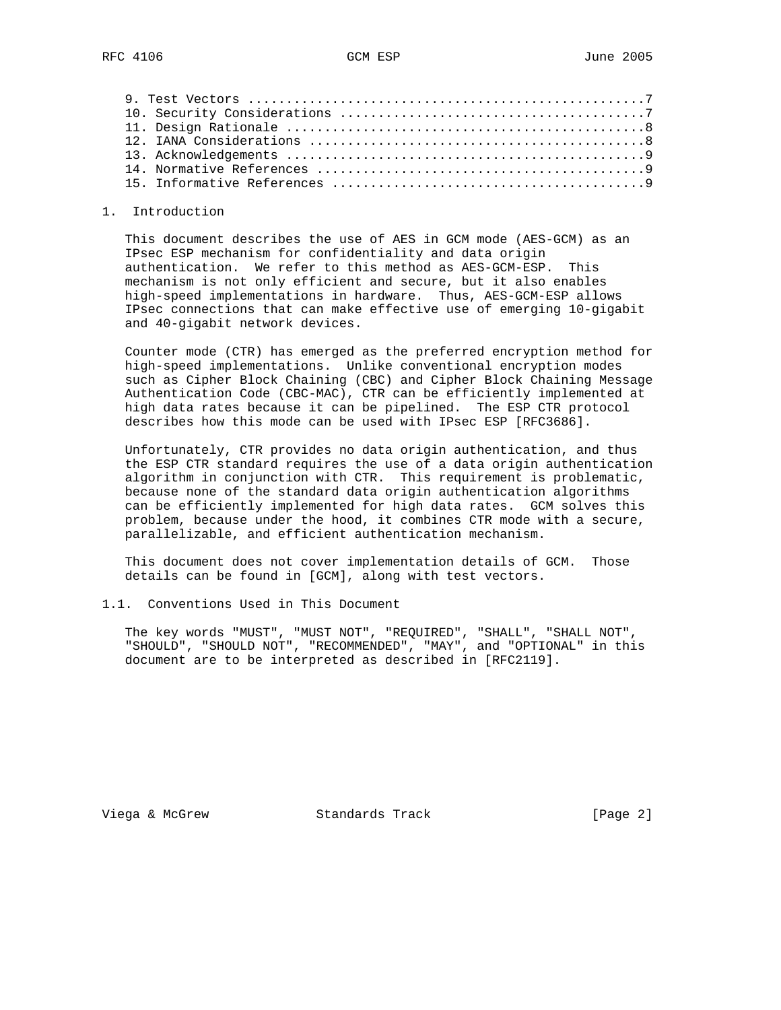#### 1. Introduction

 This document describes the use of AES in GCM mode (AES-GCM) as an IPsec ESP mechanism for confidentiality and data origin authentication. We refer to this method as AES-GCM-ESP. This mechanism is not only efficient and secure, but it also enables high-speed implementations in hardware. Thus, AES-GCM-ESP allows IPsec connections that can make effective use of emerging 10-gigabit and 40-gigabit network devices.

 Counter mode (CTR) has emerged as the preferred encryption method for high-speed implementations. Unlike conventional encryption modes such as Cipher Block Chaining (CBC) and Cipher Block Chaining Message Authentication Code (CBC-MAC), CTR can be efficiently implemented at high data rates because it can be pipelined. The ESP CTR protocol describes how this mode can be used with IPsec ESP [RFC3686].

 Unfortunately, CTR provides no data origin authentication, and thus the ESP CTR standard requires the use of a data origin authentication algorithm in conjunction with CTR. This requirement is problematic, because none of the standard data origin authentication algorithms can be efficiently implemented for high data rates. GCM solves this problem, because under the hood, it combines CTR mode with a secure, parallelizable, and efficient authentication mechanism.

 This document does not cover implementation details of GCM. Those details can be found in [GCM], along with test vectors.

# 1.1. Conventions Used in This Document

 The key words "MUST", "MUST NOT", "REQUIRED", "SHALL", "SHALL NOT", "SHOULD", "SHOULD NOT", "RECOMMENDED", "MAY", and "OPTIONAL" in this document are to be interpreted as described in [RFC2119].

Viega & McGrew Standards Track [Page 2]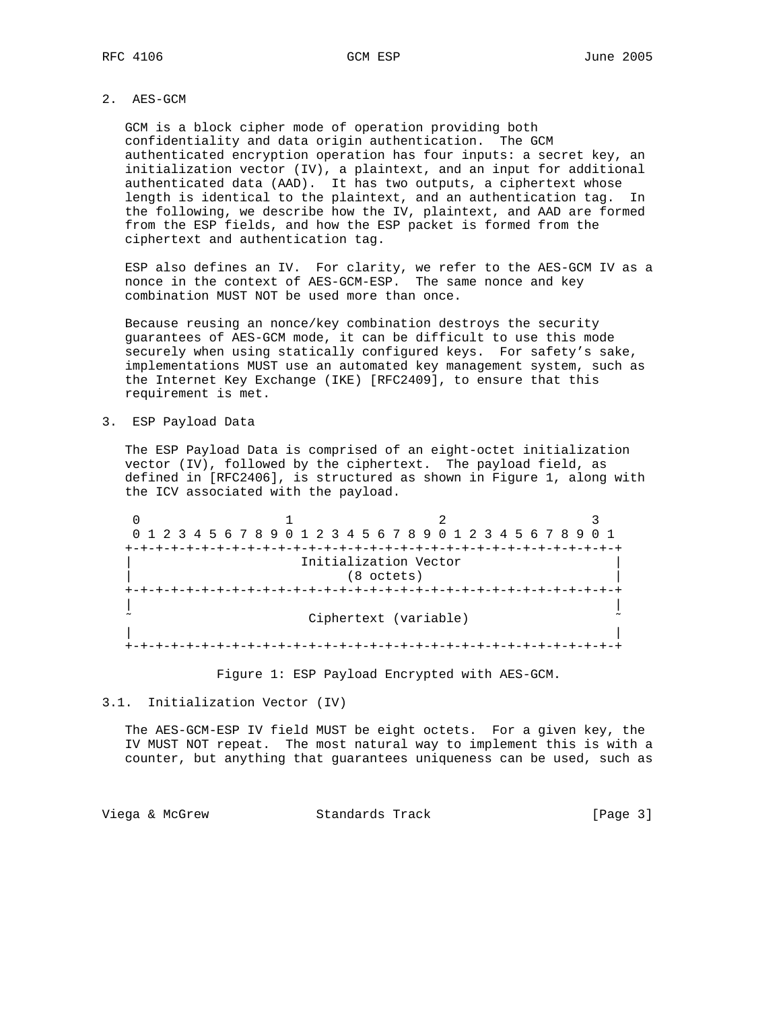### 2. AES-GCM

 GCM is a block cipher mode of operation providing both confidentiality and data origin authentication. The GCM authenticated encryption operation has four inputs: a secret key, an initialization vector (IV), a plaintext, and an input for additional authenticated data (AAD). It has two outputs, a ciphertext whose length is identical to the plaintext, and an authentication tag. In the following, we describe how the IV, plaintext, and AAD are formed from the ESP fields, and how the ESP packet is formed from the ciphertext and authentication tag.

 ESP also defines an IV. For clarity, we refer to the AES-GCM IV as a nonce in the context of AES-GCM-ESP. The same nonce and key combination MUST NOT be used more than once.

 Because reusing an nonce/key combination destroys the security guarantees of AES-GCM mode, it can be difficult to use this mode securely when using statically configured keys. For safety's sake, implementations MUST use an automated key management system, such as the Internet Key Exchange (IKE) [RFC2409], to ensure that this requirement is met.

3. ESP Payload Data

 The ESP Payload Data is comprised of an eight-octet initialization vector (IV), followed by the ciphertext. The payload field, as defined in [RFC2406], is structured as shown in Figure 1, along with the ICV associated with the payload.

0  $1$  2 3 0 1 2 3 4 5 6 7 8 9 0 1 2 3 4 5 6 7 8 9 0 1 2 3 4 5 6 7 8 9 0 1 +-+-+-+-+-+-+-+-+-+-+-+-+-+-+-+-+-+-+-+-+-+-+-+-+-+-+-+-+-+-+-+-+ Initialization Vector (8 octets) +-+-+-+-+-+-+-+-+-+-+-+-+-+-+-+-+-+-+-+-+-+-+-+-+-+-+-+-+-+-+-+-+ | | Ciphertext (variable) | | +-+-+-+-+-+-+-+-+-+-+-+-+-+-+-+-+-+-+-+-+-+-+-+-+-+-+-+-+-+-+-+-+

Figure 1: ESP Payload Encrypted with AES-GCM.

3.1. Initialization Vector (IV)

 The AES-GCM-ESP IV field MUST be eight octets. For a given key, the IV MUST NOT repeat. The most natural way to implement this is with a counter, but anything that guarantees uniqueness can be used, such as

Viega & McGrew Standards Track [Page 3]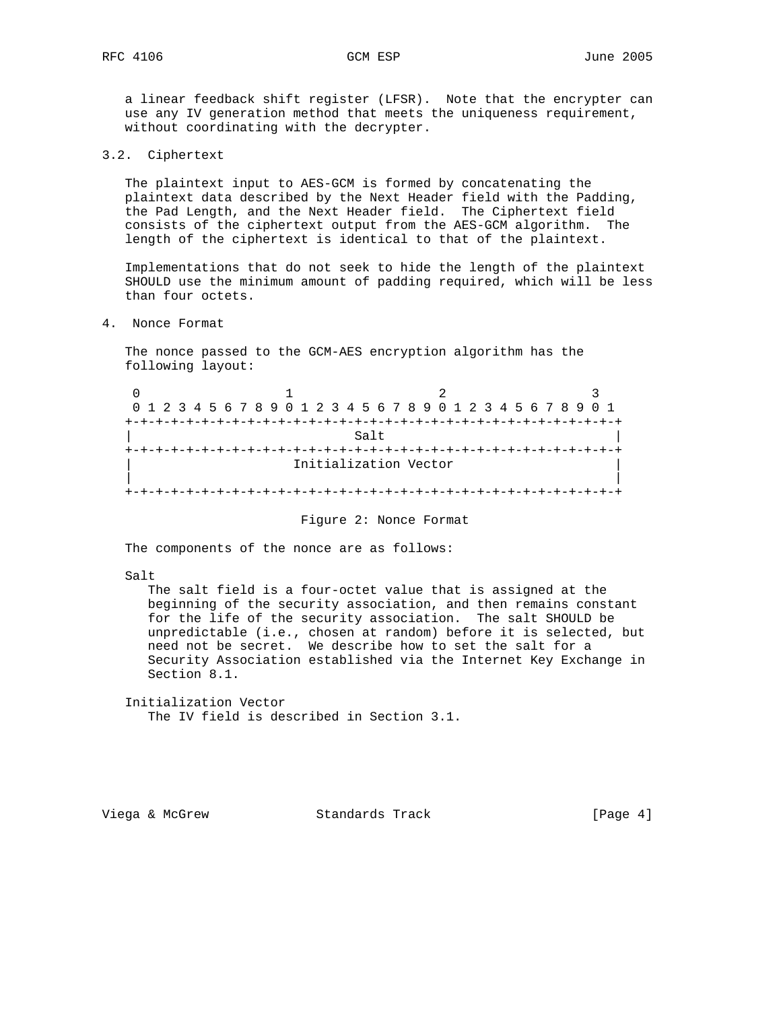a linear feedback shift register (LFSR). Note that the encrypter can use any IV generation method that meets the uniqueness requirement, without coordinating with the decrypter.

3.2. Ciphertext

 The plaintext input to AES-GCM is formed by concatenating the plaintext data described by the Next Header field with the Padding, the Pad Length, and the Next Header field. The Ciphertext field consists of the ciphertext output from the AES-GCM algorithm. The length of the ciphertext is identical to that of the plaintext.

 Implementations that do not seek to hide the length of the plaintext SHOULD use the minimum amount of padding required, which will be less than four octets.

4. Nonce Format

 The nonce passed to the GCM-AES encryption algorithm has the following layout:

| 0 1 2 3 4 5 6 7 8 9 0 1 2 3 4 5 6 7 8 9 0 1 2 3 4 5 6 7 8 9 0 1 |  |  |  |  |  |  |  |  |  |  |  |  |  |      |  |  |  |  |  |  |  |  |  |  |  |  |  |  |  |  |
|-----------------------------------------------------------------|--|--|--|--|--|--|--|--|--|--|--|--|--|------|--|--|--|--|--|--|--|--|--|--|--|--|--|--|--|--|
|                                                                 |  |  |  |  |  |  |  |  |  |  |  |  |  |      |  |  |  |  |  |  |  |  |  |  |  |  |  |  |  |  |
|                                                                 |  |  |  |  |  |  |  |  |  |  |  |  |  | Sa1t |  |  |  |  |  |  |  |  |  |  |  |  |  |  |  |  |
|                                                                 |  |  |  |  |  |  |  |  |  |  |  |  |  |      |  |  |  |  |  |  |  |  |  |  |  |  |  |  |  |  |
| Initialization Vector                                           |  |  |  |  |  |  |  |  |  |  |  |  |  |      |  |  |  |  |  |  |  |  |  |  |  |  |  |  |  |  |
|                                                                 |  |  |  |  |  |  |  |  |  |  |  |  |  |      |  |  |  |  |  |  |  |  |  |  |  |  |  |  |  |  |
|                                                                 |  |  |  |  |  |  |  |  |  |  |  |  |  |      |  |  |  |  |  |  |  |  |  |  |  |  |  |  |  |  |

Figure 2: Nonce Format

The components of the nonce are as follows:

Salt

 The salt field is a four-octet value that is assigned at the beginning of the security association, and then remains constant for the life of the security association. The salt SHOULD be unpredictable (i.e., chosen at random) before it is selected, but need not be secret. We describe how to set the salt for a Security Association established via the Internet Key Exchange in Section 8.1.

 Initialization Vector The IV field is described in Section 3.1.

Viega & McGrew Standards Track (Page 4)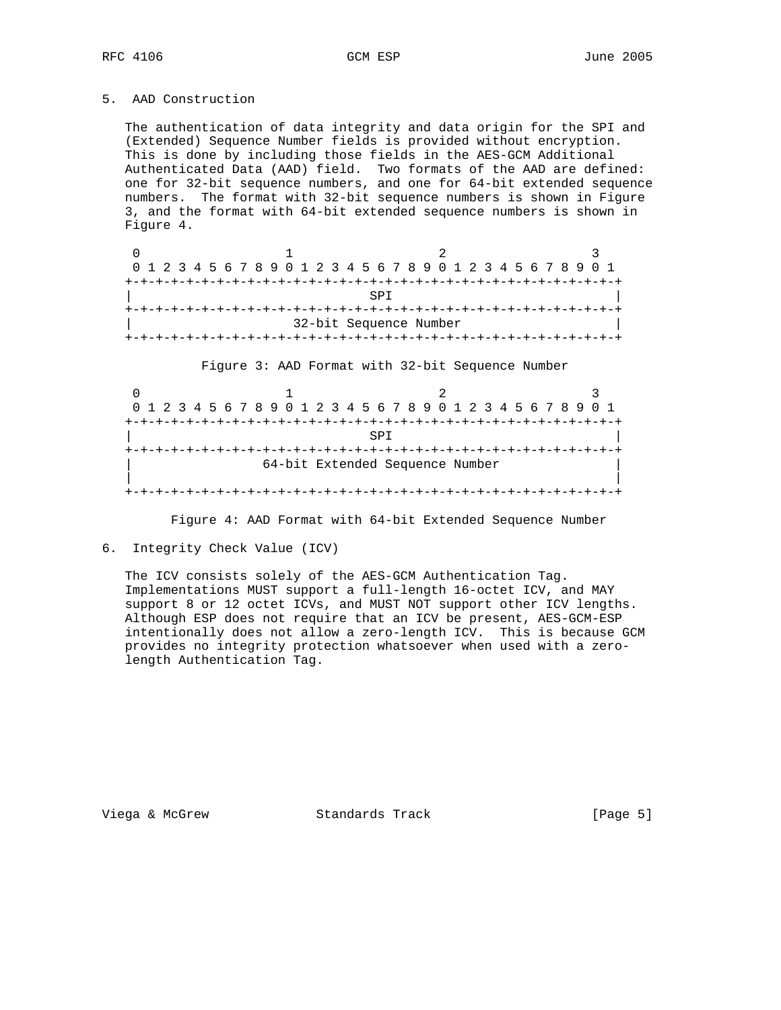### 5. AAD Construction

 The authentication of data integrity and data origin for the SPI and (Extended) Sequence Number fields is provided without encryption. This is done by including those fields in the AES-GCM Additional Authenticated Data (AAD) field. Two formats of the AAD are defined: one for 32-bit sequence numbers, and one for 64-bit extended sequence numbers. The format with 32-bit sequence numbers is shown in Figure 3, and the format with 64-bit extended sequence numbers is shown in Figure 4.

|  |     |  |  |  |  |  | 0 1 2 3 4 5 6 7 8 9 0 1 2 3 4 5 6 7 8 9 0 1 2 3 4 5 6 7 8 9 0 1 |  |  |  |  |                        |  |  |  |  |  |  |  |  |  |  |  |  |  |  |  |  |
|--|-----|--|--|--|--|--|-----------------------------------------------------------------|--|--|--|--|------------------------|--|--|--|--|--|--|--|--|--|--|--|--|--|--|--|--|
|  |     |  |  |  |  |  |                                                                 |  |  |  |  |                        |  |  |  |  |  |  |  |  |  |  |  |  |  |  |  |  |
|  | SPT |  |  |  |  |  |                                                                 |  |  |  |  |                        |  |  |  |  |  |  |  |  |  |  |  |  |  |  |  |  |
|  |     |  |  |  |  |  |                                                                 |  |  |  |  |                        |  |  |  |  |  |  |  |  |  |  |  |  |  |  |  |  |
|  |     |  |  |  |  |  |                                                                 |  |  |  |  | 32-bit Sequence Number |  |  |  |  |  |  |  |  |  |  |  |  |  |  |  |  |
|  |     |  |  |  |  |  |                                                                 |  |  |  |  |                        |  |  |  |  |  |  |  |  |  |  |  |  |  |  |  |  |

| 0 1 2 3 4 5 6 7 8 9 0 1 2 3 4 5 6 7 8 9 0 1 2 3 4 5 6 7 8 9 0 1 |  |  |  |  |  |  |  |  |  |  |  |  |  |  |                   |  |  |  |  |  |  |  |  |  |  |  |  |  |  |
|-----------------------------------------------------------------|--|--|--|--|--|--|--|--|--|--|--|--|--|--|-------------------|--|--|--|--|--|--|--|--|--|--|--|--|--|--|
|                                                                 |  |  |  |  |  |  |  |  |  |  |  |  |  |  | --+-+-+-+-+-+-+-+ |  |  |  |  |  |  |  |  |  |  |  |  |  |  |
| <b>SPT</b>                                                      |  |  |  |  |  |  |  |  |  |  |  |  |  |  |                   |  |  |  |  |  |  |  |  |  |  |  |  |  |  |
|                                                                 |  |  |  |  |  |  |  |  |  |  |  |  |  |  |                   |  |  |  |  |  |  |  |  |  |  |  |  |  |  |
| 64-bit Extended Sequence Number                                 |  |  |  |  |  |  |  |  |  |  |  |  |  |  |                   |  |  |  |  |  |  |  |  |  |  |  |  |  |  |
|                                                                 |  |  |  |  |  |  |  |  |  |  |  |  |  |  |                   |  |  |  |  |  |  |  |  |  |  |  |  |  |  |
|                                                                 |  |  |  |  |  |  |  |  |  |  |  |  |  |  |                   |  |  |  |  |  |  |  |  |  |  |  |  |  |  |

#### Figure 3: AAD Format with 32-bit Sequence Number

Figure 4: AAD Format with 64-bit Extended Sequence Number

 The ICV consists solely of the AES-GCM Authentication Tag. Implementations MUST support a full-length 16-octet ICV, and MAY support 8 or 12 octet ICVs, and MUST NOT support other ICV lengths. Although ESP does not require that an ICV be present, AES-GCM-ESP intentionally does not allow a zero-length ICV. This is because GCM provides no integrity protection whatsoever when used with a zero length Authentication Tag.

Viega & McGrew Standards Track [Page 5]

<sup>6.</sup> Integrity Check Value (ICV)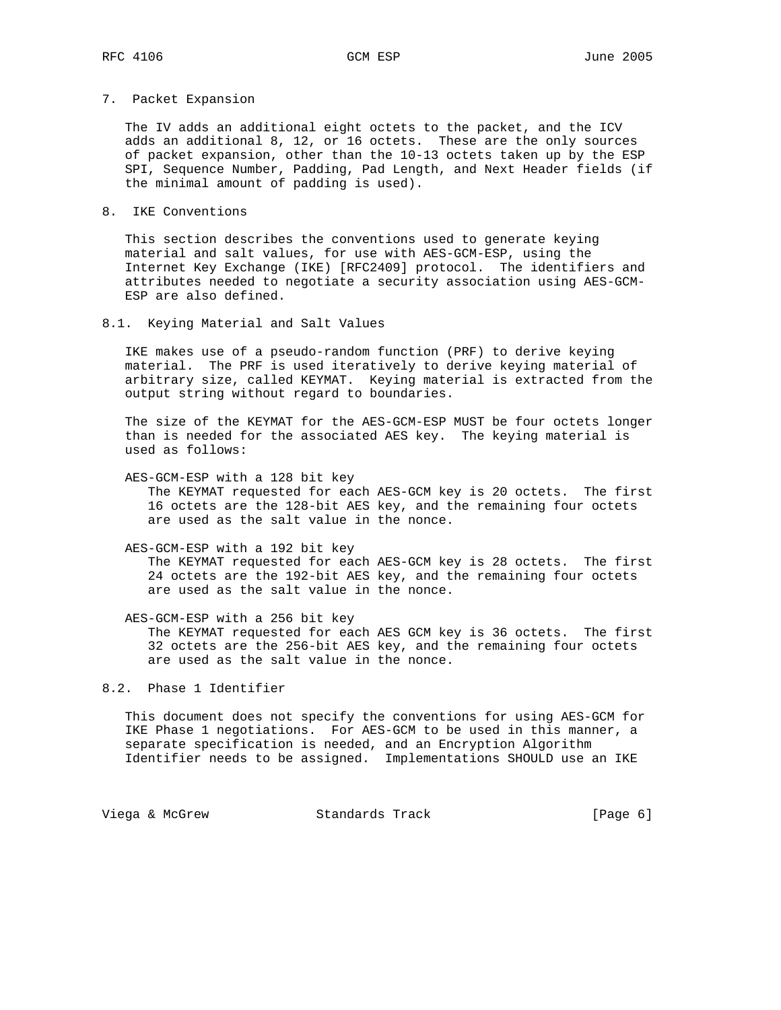7. Packet Expansion

 The IV adds an additional eight octets to the packet, and the ICV adds an additional 8, 12, or 16 octets. These are the only sources of packet expansion, other than the 10-13 octets taken up by the ESP SPI, Sequence Number, Padding, Pad Length, and Next Header fields (if the minimal amount of padding is used).

8. IKE Conventions

 This section describes the conventions used to generate keying material and salt values, for use with AES-GCM-ESP, using the Internet Key Exchange (IKE) [RFC2409] protocol. The identifiers and attributes needed to negotiate a security association using AES-GCM- ESP are also defined.

8.1. Keying Material and Salt Values

 IKE makes use of a pseudo-random function (PRF) to derive keying material. The PRF is used iteratively to derive keying material of arbitrary size, called KEYMAT. Keying material is extracted from the output string without regard to boundaries.

 The size of the KEYMAT for the AES-GCM-ESP MUST be four octets longer than is needed for the associated AES key. The keying material is used as follows:

AES-GCM-ESP with a 128 bit key

 The KEYMAT requested for each AES-GCM key is 20 octets. The first 16 octets are the 128-bit AES key, and the remaining four octets are used as the salt value in the nonce.

AES-GCM-ESP with a 192 bit key

 The KEYMAT requested for each AES-GCM key is 28 octets. The first 24 octets are the 192-bit AES key, and the remaining four octets are used as the salt value in the nonce.

 AES-GCM-ESP with a 256 bit key The KEYMAT requested for each AES GCM key is 36 octets. The first 32 octets are the 256-bit AES key, and the remaining four octets are used as the salt value in the nonce.

8.2. Phase 1 Identifier

 This document does not specify the conventions for using AES-GCM for IKE Phase 1 negotiations. For AES-GCM to be used in this manner, a separate specification is needed, and an Encryption Algorithm Identifier needs to be assigned. Implementations SHOULD use an IKE

Viega & McGrew Standards Track [Page 6]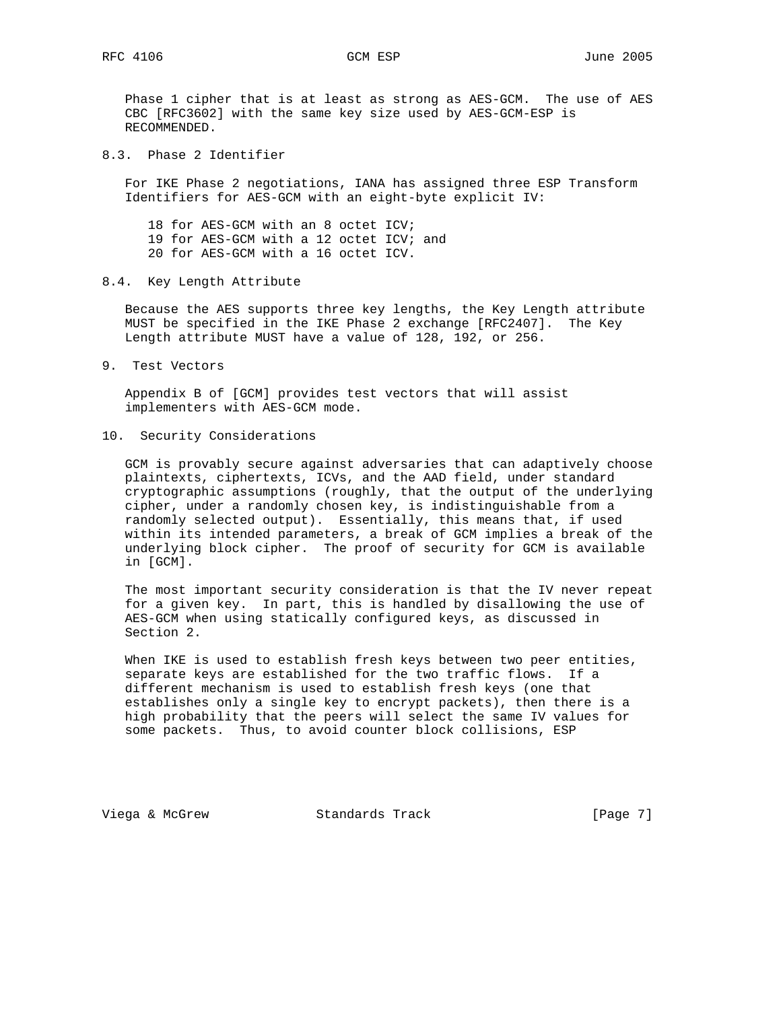Phase 1 cipher that is at least as strong as AES-GCM. The use of AES CBC [RFC3602] with the same key size used by AES-GCM-ESP is RECOMMENDED.

8.3. Phase 2 Identifier

 For IKE Phase 2 negotiations, IANA has assigned three ESP Transform Identifiers for AES-GCM with an eight-byte explicit IV:

 18 for AES-GCM with an 8 octet ICV; 19 for AES-GCM with a 12 octet ICV; and 20 for AES-GCM with a 16 octet ICV.

8.4. Key Length Attribute

 Because the AES supports three key lengths, the Key Length attribute MUST be specified in the IKE Phase 2 exchange [RFC2407]. The Key Length attribute MUST have a value of 128, 192, or 256.

9. Test Vectors

 Appendix B of [GCM] provides test vectors that will assist implementers with AES-GCM mode.

10. Security Considerations

 GCM is provably secure against adversaries that can adaptively choose plaintexts, ciphertexts, ICVs, and the AAD field, under standard cryptographic assumptions (roughly, that the output of the underlying cipher, under a randomly chosen key, is indistinguishable from a randomly selected output). Essentially, this means that, if used within its intended parameters, a break of GCM implies a break of the underlying block cipher. The proof of security for GCM is available in [GCM].

 The most important security consideration is that the IV never repeat for a given key. In part, this is handled by disallowing the use of AES-GCM when using statically configured keys, as discussed in Section 2.

 When IKE is used to establish fresh keys between two peer entities, separate keys are established for the two traffic flows. If a different mechanism is used to establish fresh keys (one that establishes only a single key to encrypt packets), then there is a high probability that the peers will select the same IV values for some packets. Thus, to avoid counter block collisions, ESP

Viega & McGrew Standards Track [Page 7]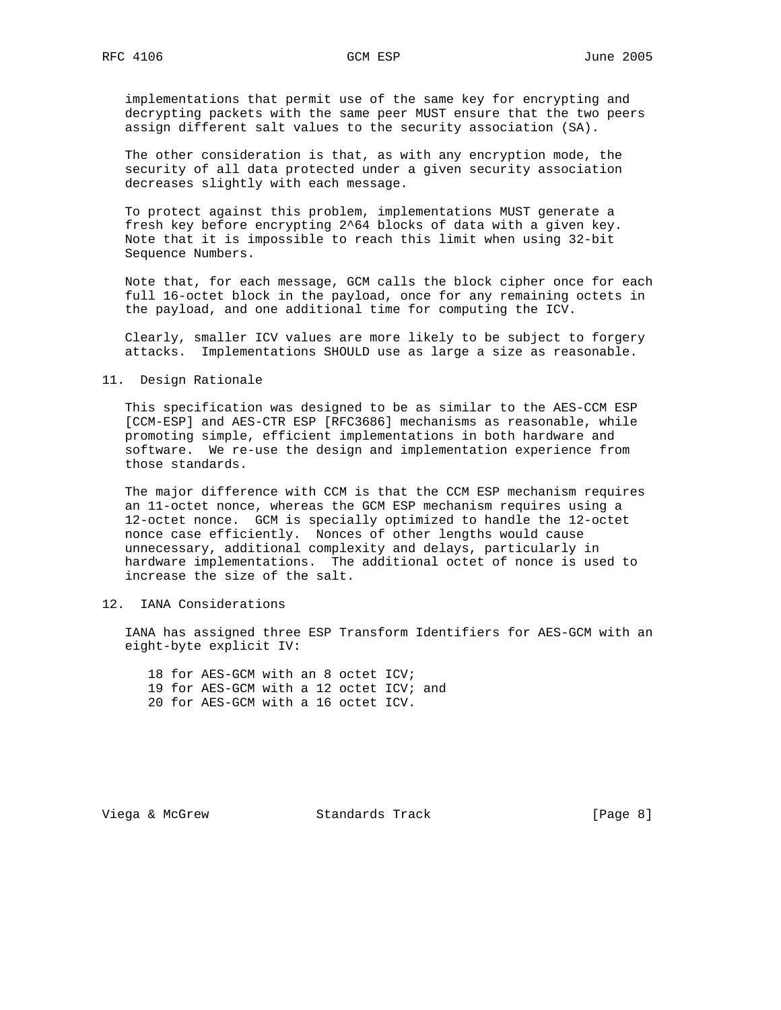implementations that permit use of the same key for encrypting and decrypting packets with the same peer MUST ensure that the two peers assign different salt values to the security association (SA).

 The other consideration is that, as with any encryption mode, the security of all data protected under a given security association decreases slightly with each message.

 To protect against this problem, implementations MUST generate a fresh key before encrypting 2^64 blocks of data with a given key. Note that it is impossible to reach this limit when using 32-bit Sequence Numbers.

 Note that, for each message, GCM calls the block cipher once for each full 16-octet block in the payload, once for any remaining octets in the payload, and one additional time for computing the ICV.

 Clearly, smaller ICV values are more likely to be subject to forgery attacks. Implementations SHOULD use as large a size as reasonable.

#### 11. Design Rationale

 This specification was designed to be as similar to the AES-CCM ESP [CCM-ESP] and AES-CTR ESP [RFC3686] mechanisms as reasonable, while promoting simple, efficient implementations in both hardware and software. We re-use the design and implementation experience from those standards.

 The major difference with CCM is that the CCM ESP mechanism requires an 11-octet nonce, whereas the GCM ESP mechanism requires using a 12-octet nonce. GCM is specially optimized to handle the 12-octet nonce case efficiently. Nonces of other lengths would cause unnecessary, additional complexity and delays, particularly in hardware implementations. The additional octet of nonce is used to increase the size of the salt.

# 12. IANA Considerations

 IANA has assigned three ESP Transform Identifiers for AES-GCM with an eight-byte explicit IV:

 18 for AES-GCM with an 8 octet ICV; 19 for AES-GCM with a 12 octet ICV; and 20 for AES-GCM with a 16 octet ICV.

Viega & McGrew Standards Track [Page 8]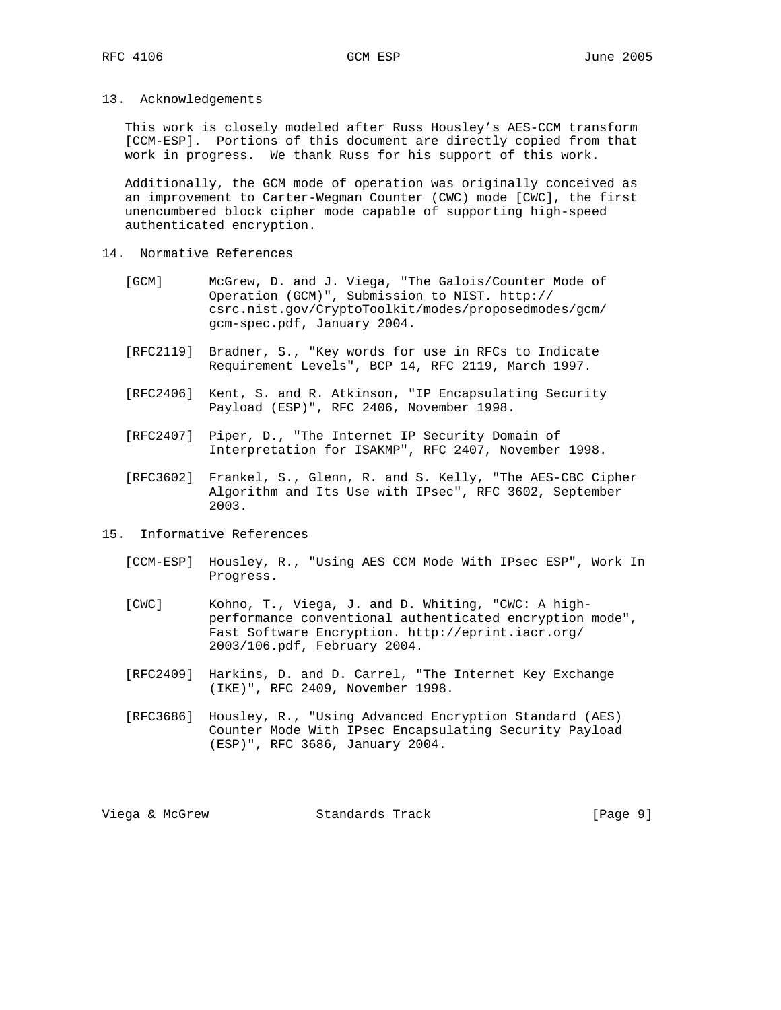13. Acknowledgements

 This work is closely modeled after Russ Housley's AES-CCM transform [CCM-ESP]. Portions of this document are directly copied from that work in progress. We thank Russ for his support of this work.

 Additionally, the GCM mode of operation was originally conceived as an improvement to Carter-Wegman Counter (CWC) mode [CWC], the first unencumbered block cipher mode capable of supporting high-speed authenticated encryption.

- 14. Normative References
	- [GCM] McGrew, D. and J. Viega, "The Galois/Counter Mode of Operation (GCM)", Submission to NIST. http:// csrc.nist.gov/CryptoToolkit/modes/proposedmodes/gcm/ gcm-spec.pdf, January 2004.
	- [RFC2119] Bradner, S., "Key words for use in RFCs to Indicate Requirement Levels", BCP 14, RFC 2119, March 1997.
	- [RFC2406] Kent, S. and R. Atkinson, "IP Encapsulating Security Payload (ESP)", RFC 2406, November 1998.
	- [RFC2407] Piper, D., "The Internet IP Security Domain of Interpretation for ISAKMP", RFC 2407, November 1998.
	- [RFC3602] Frankel, S., Glenn, R. and S. Kelly, "The AES-CBC Cipher Algorithm and Its Use with IPsec", RFC 3602, September 2003.
- 15. Informative References
	- [CCM-ESP] Housley, R., "Using AES CCM Mode With IPsec ESP", Work In Progress.
	- [CWC] Kohno, T., Viega, J. and D. Whiting, "CWC: A high performance conventional authenticated encryption mode", Fast Software Encryption. http://eprint.iacr.org/ 2003/106.pdf, February 2004.
	- [RFC2409] Harkins, D. and D. Carrel, "The Internet Key Exchange (IKE)", RFC 2409, November 1998.
	- [RFC3686] Housley, R., "Using Advanced Encryption Standard (AES) Counter Mode With IPsec Encapsulating Security Payload (ESP)", RFC 3686, January 2004.

Viega & McGrew Standards Track [Page 9]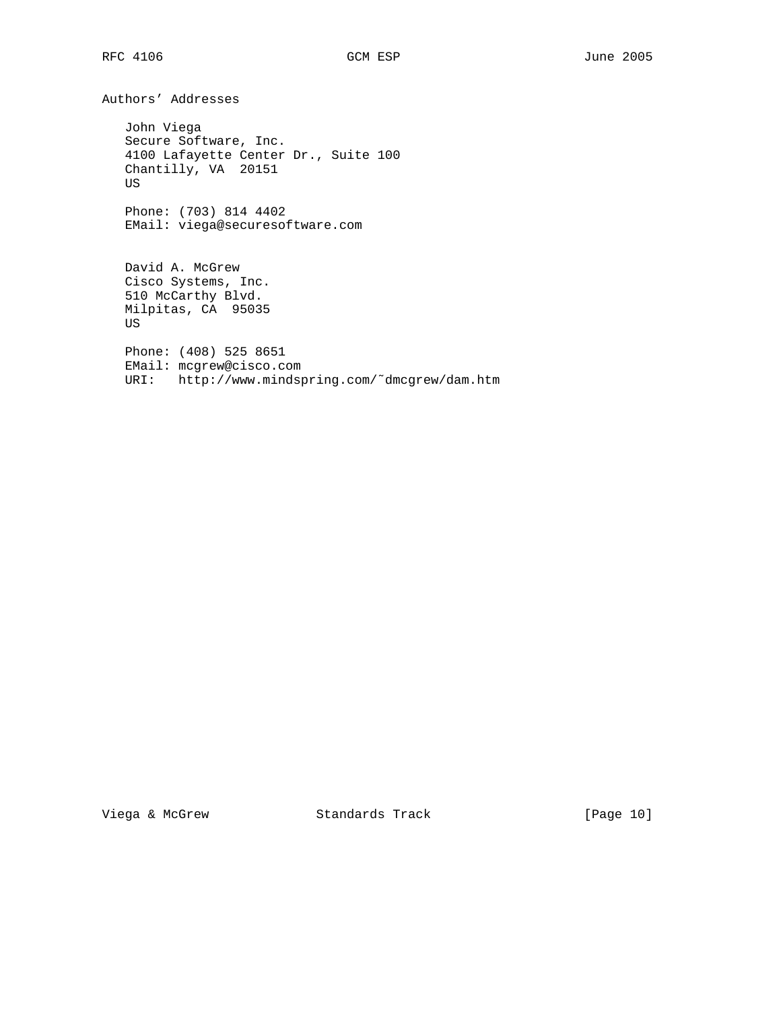Authors' Addresses

 John Viega Secure Software, Inc. 4100 Lafayette Center Dr., Suite 100 Chantilly, VA 20151 US

 Phone: (703) 814 4402 EMail: viega@securesoftware.com

 David A. McGrew Cisco Systems, Inc. 510 McCarthy Blvd. Milpitas, CA 95035 US

 Phone: (408) 525 8651 EMail: mcgrew@cisco.com URI: http://www.mindspring.com/˜dmcgrew/dam.htm

Viega & McGrew Standards Track [Page 10]